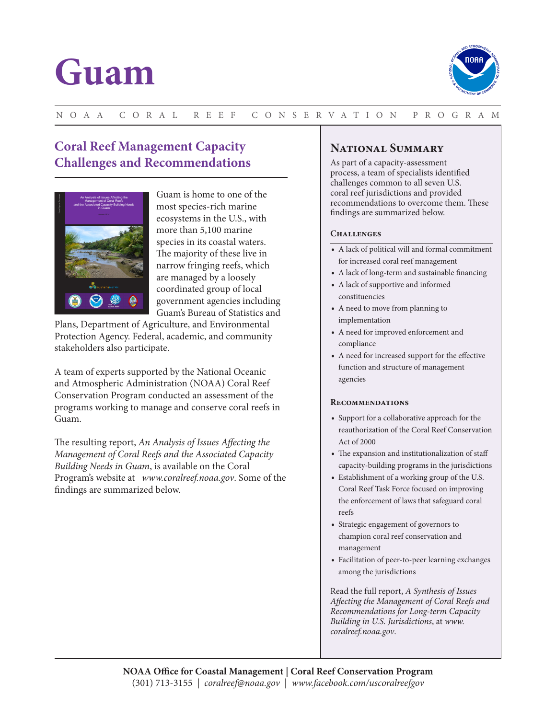# **Guam**



## N OA A C O R A L R E E F C O N SE RVAT IO N P R O G R A M

# **Coral Reef Management Capacity Challenges and Recommendations**



Guam is home to one of the most species-rich marine ecosystems in the U.S., with more than 5,100 marine species in its coastal waters. The majority of these live in narrow fringing reefs, which are managed by a loosely coordinated group of local government agencies including Guam's Bureau of Statistics and

Plans, Department of Agriculture, and Environmental Protection Agency. Federal, academic, and community stakeholders also participate.

A team of experts supported by the National Oceanic and Atmospheric Administration (NOAA) Coral Reef Conservation Program conducted an assessment of the programs working to manage and conserve coral reefs in Guam.

The resulting report, *An Analysis of Issues Affecting the Management of Coral Reefs and the Associated Capacity Building Needs in Guam*, is available on the Coral Program's website at *www.coralreef.noaa.gov*. Some of the findings are summarized below.

## **National Summary**

As part of a capacity-assessment process, a team of specialists identified challenges common to all seven U.S. coral reef jurisdictions and provided recommendations to overcome them. These findings are summarized below.

## CHALLENGES

- A lack of political will and formal commitment for increased coral reef management
- A lack of long-term and sustainable financing
- A lack of supportive and informed constituencies
- A need to move from planning to implementation
- A need for improved enforcement and compliance
- A need for increased support for the effective function and structure of management agencies

#### **Recommendations**

- Support for a collaborative approach for the reauthorization of the Coral Reef Conservation Act of 2000
- The expansion and institutionalization of staff capacity-building programs in the jurisdictions
- Establishment of a working group of the U.S. Coral Reef Task Force focused on improving the enforcement of laws that safeguard coral reefs
- Strategic engagement of governors to champion coral reef conservation and management
- Facilitation of peer-to-peer learning exchanges among the jurisdictions

Read the full report, *A Synthesis of Issues Affecting the Management of Coral Reefs and Recommendations for Long-term Capacity Building in U.S. Jurisdictions*, at *www. coralreef.noaa.gov*.